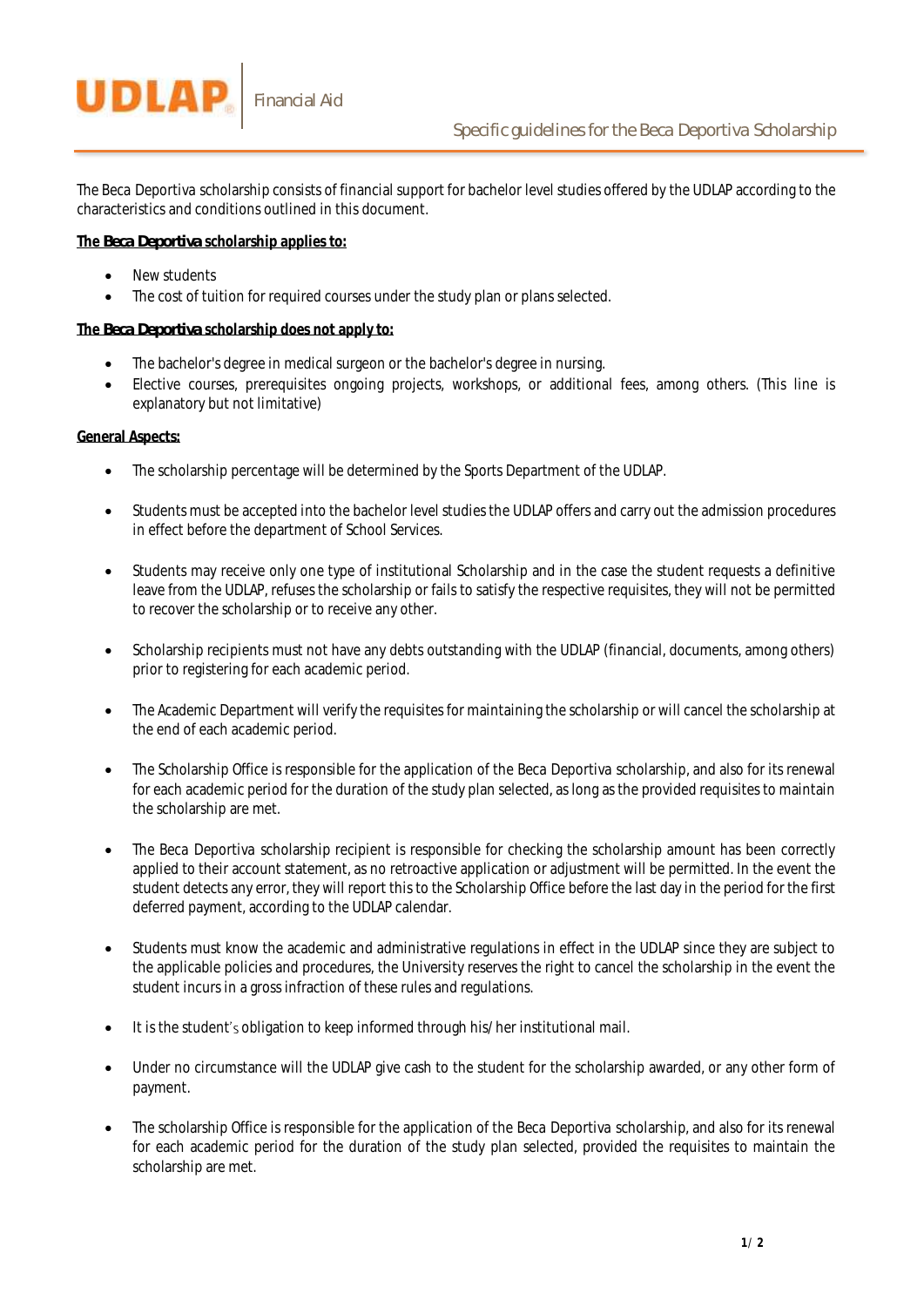

The *Beca Deportiva* scholarship consists of financial support for bachelor level studies offered by the UDLAP according to the characteristics and conditions outlined in this document.

## **The** *Beca Deportiva* **scholarship applies to:**

- New students
- The cost of tuition for required courses under the study plan or plans selected.

## **The** *Beca Deportiva* **scholarship does not apply to:**

- The bachelor's degree in medical surgeon or the bachelor's degree in nursing.
- Elective courses, prerequisites ongoing projects, workshops, or additional fees, among others. (This line is explanatory but not limitative)

## **General Aspects:**

- The scholarship percentage will be determined by the Sports Department of the UDLAP.
- Students must be accepted into the bachelor level studies the UDLAP offers and carry out the admission procedures in effect before the department of School Services.
- Students may receive only one type of institutional Scholarship and in the case the student requests a definitive leave from the UDLAP, refuses the scholarship or fails to satisfy the respective requisites, they will not be permitted to recover the scholarship or to receive any other.
- Scholarship recipients must not have any debts outstanding with the UDLAP (financial, documents, among others) prior to registering for each academic period.
- The Academic Department will verify the requisites for maintaining the scholarship or will cancel the scholarship at the end of each academic period.
- The Scholarship Office is responsible for the application of the *Beca Deportiva* scholarship, and also for its renewal for each academic period for the duration of the study plan selected, as long as the provided requisites to maintain the scholarship are met.
- The *Beca Deportiva* scholarship recipient is responsible for checking the scholarship amount has been correctly applied to their account statement, as no retroactive application or adjustment will be permitted. In the event the student detects any error, they will report this to the Scholarship Office before the last day in the period for the first deferred payment, according to the UDLAP calendar.
- Students must know the academic and administrative regulations in effect in the UDLAP since they are subject to the applicable policies and procedures, the University reserves the right to cancel the scholarship in the event the student incurs in a gross infraction of these rules and regulations.
- $\bullet$  It is the student's obligation to keep informed through his/her institutional mail.
- Under no circumstance will the UDLAP give cash to the student for the scholarship awarded, or any other form of payment.
- The scholarship Office is responsible for the application of the *Beca Deportiva* scholarship, and also for its renewal for each academic period for the duration of the study plan selected, provided the requisites to maintain the scholarship are met.